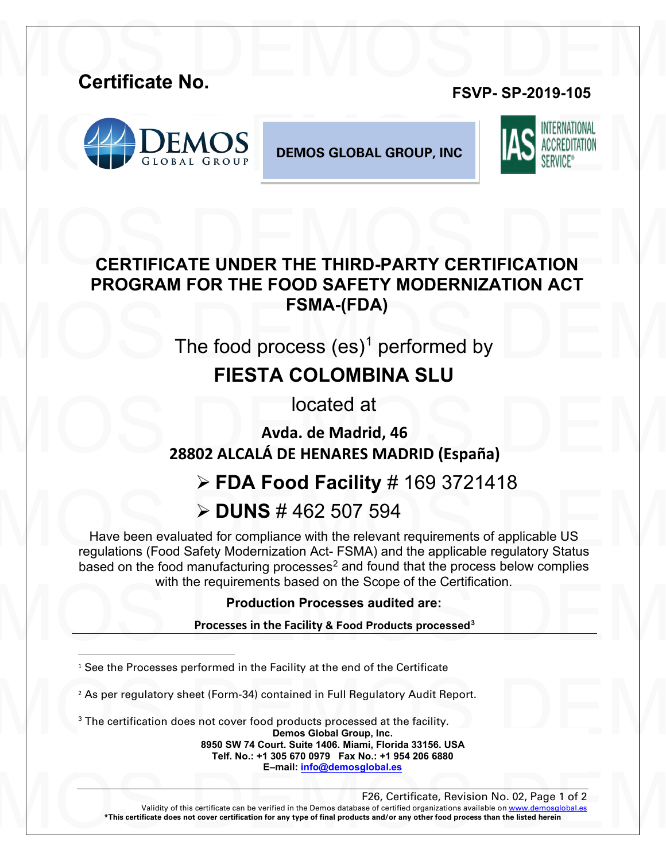# Certificate No. **Certificate No. FSVP- SP-2019-105**



**DEMOS GLOBAL GROUP, INC**



# CERTIFICATE UNDER THE THIRD-PARTY CERTIFICATION FSMA-(FDA)<br>The food process (es)<sup>1</sup> performed by<br>ELESTA C[O](#page-0-0)LOMBINA SLIL **CERTIFICATE UNDER THE THIRD-PARTY CERTIFICATION PROGRAM FOR THE FOOD SAFETY MODERNIZATION ACT FSMA-(FDA)**

The food process  $(es)^1$  performed by

## **FIESTA COLOMBINA SLU**

located at

DEMOS DE NOVIE DE NOVIE DE NORTE DE NORTE DE NORTE DE NORTE DE NORTE DE NORTE DE NORTE DE NORTE DE NORTE DE NORTE DE NORTE DE NORTE DE NORTE DE NORTE DE NORTE DE NORTE DE NORTE DE NORTE DE NORTE DE NORTE DE NORTE DE NORTE **Avda. de Madrid, 46 28802 ALCALÁ DE HENARES MADRID (España)**

### **FDA Food Facility** # 169 3721418

## **DUNS** # 462 507 594

 $\triangleright$  DUNS # 462 507 594<br>Have been evaluated for compliance with the relevant requirements of applicable US<br>regulations (Food Safety Modernization Act- FSMA) and the applicable regulatory Status Have been evaluated for compliance with the relevant requirements of applicable US regulations (Food Safety Modernization Act- FSMA) and the applicable regulatory Status based on the food manufacturing processes<sup>[2](#page-0-1)</sup> and found that the process below complies with the requirements based on the Scope of the Certification.

#### **Production Processes audited are:**

With the requirements based on the [S](#page-0-2)cope of the Certification.<br>
Production Processes audited are:<br>
Processes in the Facility & Food Products processed<sup>3</sup> **Processes in the Facility & Food Products processed3**

<span id="page-0-0"></span><sup>1</sup> See the Processes performed in the Facility at the end of the Certificate

<sup>2</sup> As per regulatory sheet (Form-34) contained in Full Regulatory Audit Report.<br><sup>3</sup> The certification does not cover food products processed at the facility.<br>**2** Demos Global Group, Inc.<br>**2950 SW 74 Court. Suite 1406. Mia** <sup>2</sup> As per regulatory sheet (Form-34) contained in Full Regulatory Audit Report.

<span id="page-0-2"></span><span id="page-0-1"></span><sup>3</sup> The certification does not cover food products processed at the facility.

**Demos Global Group, Inc.**

**8950 SW 74 Court. Suite 1406. Miami, Florida 33156. USA Telf. No.: +1 305 670 0979 Fax No.: +1 954 206 6880 E–mail[: info@demosglobal.es](mailto:info@demosglobal.es)**

#### F26, Certificate, Revision No. 02, Page 1 of 2

Validity of this certificate can be verified in the Demos database of certificate, Revision No. 02, Page 1 of 2<br>
\*This certificate does not cover certification for any type of final products and/or any other food process t Validity of this certificate can be verified in the Demos database of certified organizations available on www.demosglob **\*This certificate does not cover certification for any type of final products and/or any other food process than the listed herein**